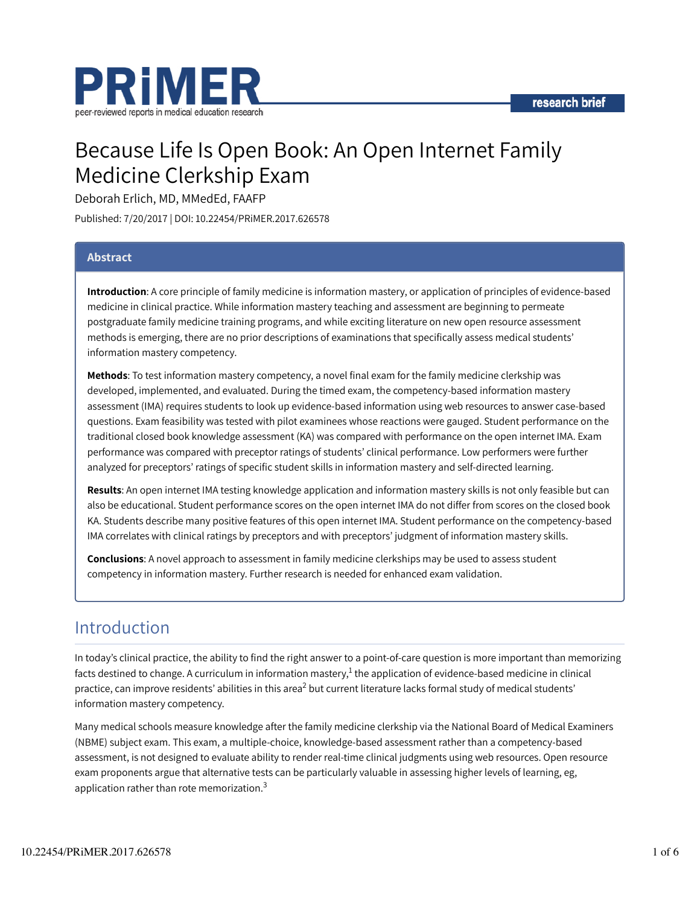

# Because Life Is Open Book: An Open Internet Family Medicine Clerkship Exam

Deborah Erlich, MD, MMedEd, FAAFP

Published: 7/20/2017 | DOI: 10.22454/PRiMER.2017.626578

## Abstract

Introduction: A core principle of family medicine is information mastery, or application of principles of evidence-based medicine in clinical practice. While information mastery teaching and assessment are beginning to permeate postgraduate family medicine training programs, and while exciting literature on new open resource assessment methods is emerging, there are no prior descriptions of examinations that specifically assess medical students' information mastery competency.

Methods: To test information mastery competency, a novel final exam for the family medicine clerkship was developed, implemented, and evaluated. During the timed exam, the competency-based information mastery assessment (IMA) requires students to look up evidence-based information using web resources to answer case-based questions. Exam feasibility was tested with pilot examinees whose reactions were gauged. Student performance on the traditional closed book knowledge assessment (KA) was compared with performance on the open internet IMA. Exam performance was compared with preceptor ratings of students' clinical performance. Low performers were further analyzed for preceptors' ratings of specific student skills in information mastery and self-directed learning.

Results: An open internet IMA testing knowledge application and information mastery skills is not only feasible but can also be educational. Student performance scores on the open internet IMA do not differ from scores on the closed book KA. Students describe many positive features of this open internet IMA. Student performance on the competency-based IMA correlates with clinical ratings by preceptors and with preceptors' judgment of information mastery skills.

Conclusions: A novel approach to assessment in family medicine clerkships may be used to assess student competency in information mastery. Further research is needed for enhanced exam validation.

## Introduction

In today's clinical practice, the ability to find the right answer to a point-of-care question is more important than memorizing facts destined to change. A curriculum in information mastery, $^1$  the application of evidence-based medicine in clinical practice, can improve residents' abilities in this area<sup>2</sup> but current literature lacks formal study of medical students' information mastery competency.

Many medical schools measure knowledge after the family medicine clerkship via the National Board of Medical Examiners (NBME) subject exam. This exam, a multiple-choice, knowledge-based assessment rather than a competency-based assessment, is not designed to evaluate ability to render real-time clinical judgments using web resources. Open resource exam proponents argue that alternative tests can be particularly valuable in assessing higher levels of learning, eg, application rather than rote memorization.<sup>3</sup>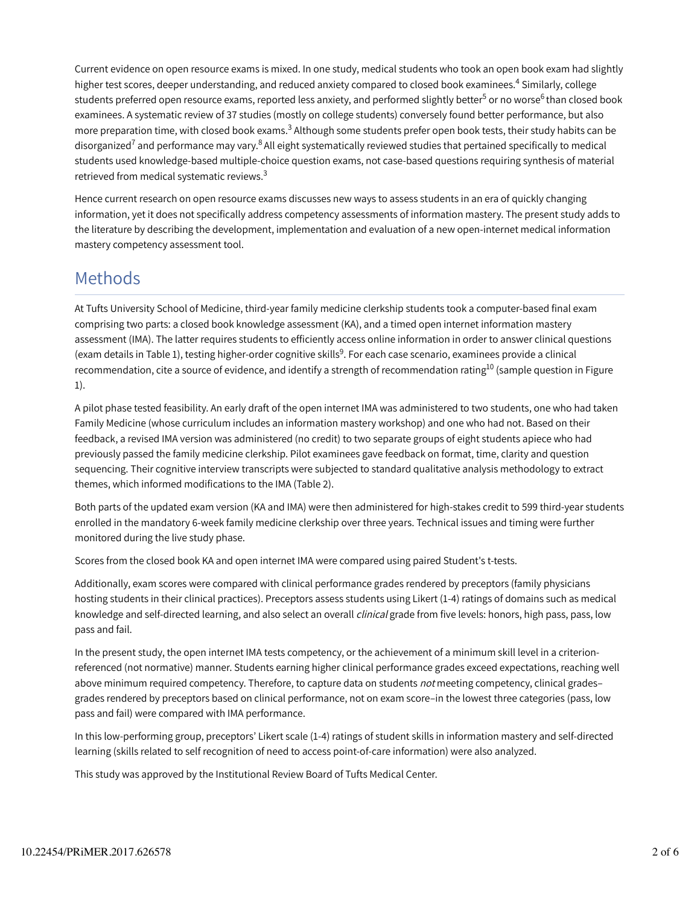Current evidence on open resource exams is mixed. In one study, medical students who took an open book exam had slightly higher test scores, deeper understanding, and reduced anxiety compared to closed book examinees.<sup>4</sup> Similarly, college students preferred open resource exams, reported less anxiety, and performed slightly better<sup>5</sup> or no worse<sup>6</sup> than closed book examinees. A systematic review of 37 studies (mostly on college students) conversely found better performance, but also more preparation time, with closed book exams. $^3$  Although some students prefer open book tests, their study habits can be disorganized<sup>7</sup> and performance may vary.<sup>8</sup> All eight systematically reviewed studies that pertained specifically to medical students used knowledge-based multiple-choice question exams, not case-based questions requiring synthesis of material retrieved from medical systematic reviews.<sup>3</sup>

Hence current research on open resource exams discusses new ways to assess students in an era of quickly changing information, yet it does not specifically address competency assessments of information mastery. The present study adds to the literature by describing the development, implementation and evaluation of a new open-internet medical information mastery competency assessment tool.

## Methods

At Tufts University School of Medicine, third-year family medicine clerkship students took a computer-based final exam comprising two parts: a closed book knowledge assessment (KA), and a timed open internet information mastery assessment (IMA). The latter requires students to efficiently access online information in order to answer clinical questions (exam details in Table 1), testing higher-order cognitive skills<sup>9</sup>. For each case scenario, examinees provide a clinical recommendation, cite a source of evidence, and identify a strength of recommendation rating $^{10}$  (sample question in Figure 1).

A pilot phase tested feasibility. An early draft of the open internet IMA was administered to two students, one who had taken Family Medicine (whose curriculum includes an information mastery workshop) and one who had not. Based on their feedback, a revised IMA version was administered (no credit) to two separate groups of eight students apiece who had previously passed the family medicine clerkship. Pilot examinees gave feedback on format, time, clarity and question sequencing. Their cognitive interview transcripts were subjected to standard qualitative analysis methodology to extract themes, which informed modifications to the IMA (Table 2).

Both parts of the updated exam version (KA and IMA) were then administered for high-stakes credit to 599 third-year students enrolled in the mandatory 6-week family medicine clerkship over three years. Technical issues and timing were further monitored during the live study phase.

Scores from the closed book KA and open internet IMA were compared using paired Student's t-tests.

Additionally, exam scores were compared with clinical performance grades rendered by preceptors (family physicians hosting students in their clinical practices). Preceptors assess students using Likert (1-4) ratings of domains such as medical knowledge and self-directed learning, and also select an overall *clinical* grade from five levels: honors, high pass, pass, low pass and fail.

In the present study, the open internet IMA tests competency, or the achievement of a minimum skill level in a criterionreferenced (not normative) manner. Students earning higher clinical performance grades exceed expectations, reaching well above minimum required competency. Therefore, to capture data on students not meeting competency, clinical gradesgrades rendered by preceptors based on clinical performance, not on exam score–in the lowest three categories (pass, low pass and fail) were compared with IMA performance.

In this low-performing group, preceptors' Likert scale (1-4) ratings of student skills in information mastery and self-directed learning (skills related to self recognition of need to access point-of-care information) were also analyzed.

This study was approved by the Institutional Review Board of Tufts Medical Center.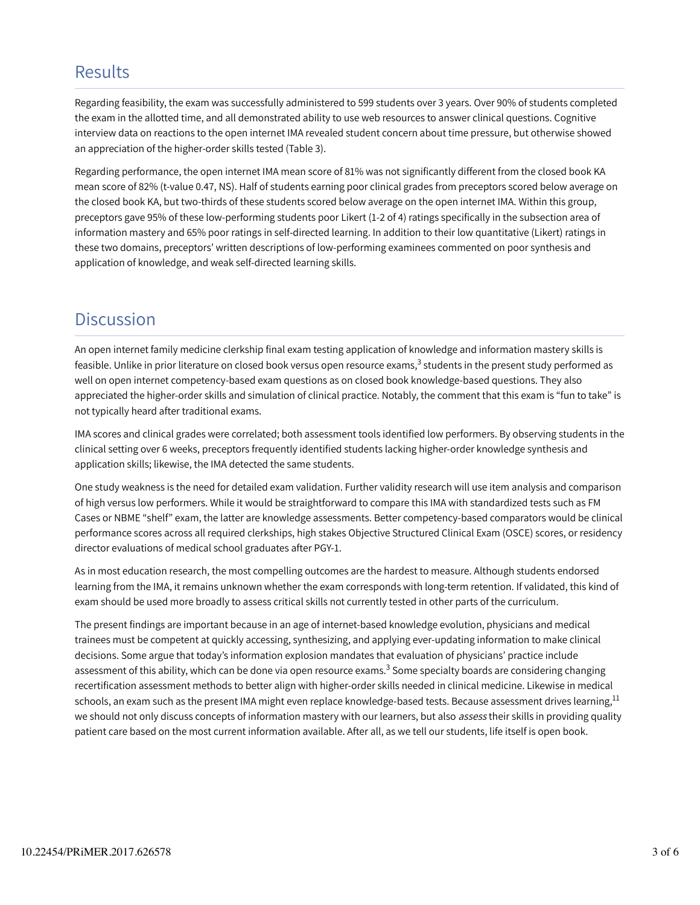## **Results**

Regarding feasibility, the exam was successfully administered to 599 students over 3 years. Over 90% of students completed the exam in the allotted time, and all demonstrated ability to use web resources to answer clinical questions. Cognitive interview data on reactions to the open internet IMA revealed student concern about time pressure, but otherwise showed an appreciation of the higher-order skills tested (Table 3).

Regarding performance, the open internet IMA mean score of 81% was not significantly different from the closed book KA mean score of 82% (t-value 0.47, NS). Half of students earning poor clinical grades from preceptors scored below average on the closed book KA, but two-thirds of these students scored below average on the open internet IMA. Within this group, preceptors gave 95% of these low-performing students poor Likert (1-2 of 4) ratings specifically in the subsection area of information mastery and 65% poor ratings in self-directed learning. In addition to their low quantitative (Likert) ratings in these two domains, preceptors' written descriptions of low-performing examinees commented on poor synthesis and application of knowledge, and weak self-directed learning skills.

## **Discussion**

An open internet family medicine clerkship final exam testing application of knowledge and information mastery skills is feasible. Unlike in prior literature on closed book versus open resource exams, $^3$  students in the present study performed as well on open internet competency-based exam questions as on closed book knowledge-based questions. They also appreciated the higher-order skills and simulation of clinical practice. Notably, the comment that this exam is "fun to take" is not typically heard after traditional exams.

IMA scores and clinical grades were correlated; both assessment tools identified low performers. By observing students in the clinical setting over 6 weeks, preceptors frequently identified students lacking higher-order knowledge synthesis and application skills; likewise, the IMA detected the same students.

One study weakness is the need for detailed exam validation. Further validity research will use item analysis and comparison of high versus low performers. While it would be straightforward to compare this IMA with standardized tests such as FM Cases or NBME "shelf" exam, the latter are knowledge assessments. Better competency-based comparators would be clinical performance scores across all required clerkships, high stakes Objective Structured Clinical Exam (OSCE) scores, or residency director evaluations of medical school graduates after PGY-1.

As in most education research, the most compelling outcomes are the hardest to measure. Although students endorsed learning from the IMA, it remains unknown whether the exam corresponds with long-term retention. If validated, this kind of exam should be used more broadly to assess critical skills not currently tested in other parts of the curriculum.

The present findings are important because in an age of internet-based knowledge evolution, physicians and medical trainees must be competent at quickly accessing, synthesizing, and applying ever-updating information to make clinical decisions. Some argue that today's information explosion mandates that evaluation of physicians' practice include assessment of this ability, which can be done via open resource exams.<sup>3</sup> Some specialty boards are considering changing recertification assessment methods to better align with higher-order skills needed in clinical medicine. Likewise in medical schools, an exam such as the present IMA might even replace knowledge-based tests. Because assessment drives learning,<sup>11</sup> we should not only discuss concepts of information mastery with our learners, but also assess their skills in providing quality patient care based on the most current information available. After all, as we tell our students, life itself is open book.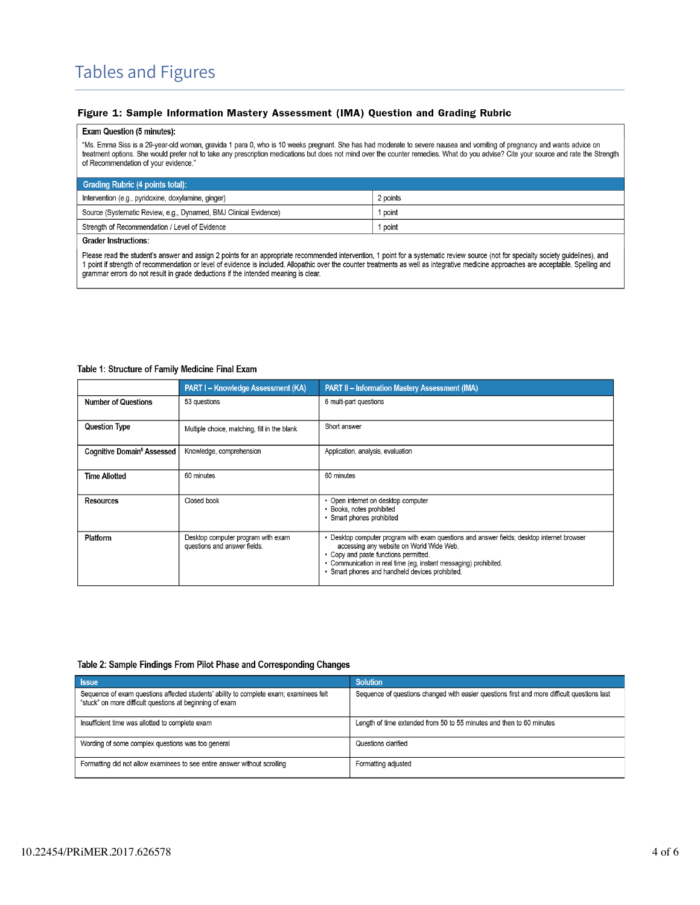#### Figure 1: Sample Information Mastery Assessment (IMA) Question and Grading Rubric

#### Exam Question (5 minutes):

"Ms. Emma Siss is a 29-year-old woman, gravida 1 para 0, who is 10 weeks pregnant. She has had moderate to severe nausea and vomiting of pregnancy and wants advice on treatment options. She would prefer not to take any prescription medications but does not mind over the counter remedies. What do you advise? Cite your source and rate the Strength of Recommendation of your evidence."

| Grading Rubric (4 points total):                                 |          |  |
|------------------------------------------------------------------|----------|--|
| Intervention (e.g., pyridoxine, doxylamine, ginger)              | 2 points |  |
| Source (Systematic Review, e.g., Dynamed, BMJ Clinical Evidence) | I point  |  |
| Strength of Recommendation / Level of Evidence                   | I point  |  |
| <b>Grader Instructions:</b>                                      |          |  |

Please read the student's answer and assign 2 points for an appropriate recommended intervention, 1 point for a systematic review source (not for specialty society guidelines), and<br>1 point if strength of recommendation or grammar errors do not result in grade deductions if the intended meaning is clear.

#### Table 1: Structure of Family Medicine Final Exam

|                                              | <b>PART I - Knowledge Assessment (KA)</b>                          | <b>PART II - Information Mastery Assessment (IMA)</b>                                                                                                                                                                                                                                                  |
|----------------------------------------------|--------------------------------------------------------------------|--------------------------------------------------------------------------------------------------------------------------------------------------------------------------------------------------------------------------------------------------------------------------------------------------------|
| <b>Number of Questions</b>                   | 53 questions                                                       | 6 multi-part questions                                                                                                                                                                                                                                                                                 |
| <b>Question Type</b>                         | Multiple choice, matching, fill in the blank                       | Short answer                                                                                                                                                                                                                                                                                           |
| <b>Cognitive Domain<sup>8</sup> Assessed</b> | Knowledge, comprehension                                           | Application, analysis, evaluation                                                                                                                                                                                                                                                                      |
| <b>Time Allotted</b>                         | 60 minutes                                                         | 60 minutes                                                                                                                                                                                                                                                                                             |
| <b>Resources</b>                             | Closed book                                                        | • Open internet on desktop computer<br>• Books, notes prohibited<br>• Smart phones prohibited                                                                                                                                                                                                          |
| Platform                                     | Desktop computer program with exam<br>questions and answer fields. | • Desktop computer program with exam questions and answer fields; desktop internet browser<br>accessing any website on World Wide Web.<br>• Copy and paste functions permitted.<br>• Communication in real time (eg, instant messaging) prohibited.<br>• Smart phones and handheld devices prohibited. |

#### Table 2: Sample Findings From Pilot Phase and Corresponding Changes

| <b>Issue</b>                                                                                                                                       | <b>Solution</b>                                                                             |
|----------------------------------------------------------------------------------------------------------------------------------------------------|---------------------------------------------------------------------------------------------|
| Sequence of exam questions affected students' ability to complete exam; examinees felt<br>"stuck" on more difficult questions at beginning of exam | Sequence of questions changed with easier questions first and more difficult questions last |
| Insufficient time was allotted to complete exam                                                                                                    | Length of time extended from 50 to 55 minutes and then to 60 minutes                        |
| Wording of some complex questions was too general                                                                                                  | Questions clarified                                                                         |
| Formatting did not allow examinees to see entire answer without scrolling                                                                          | Formatting adjusted                                                                         |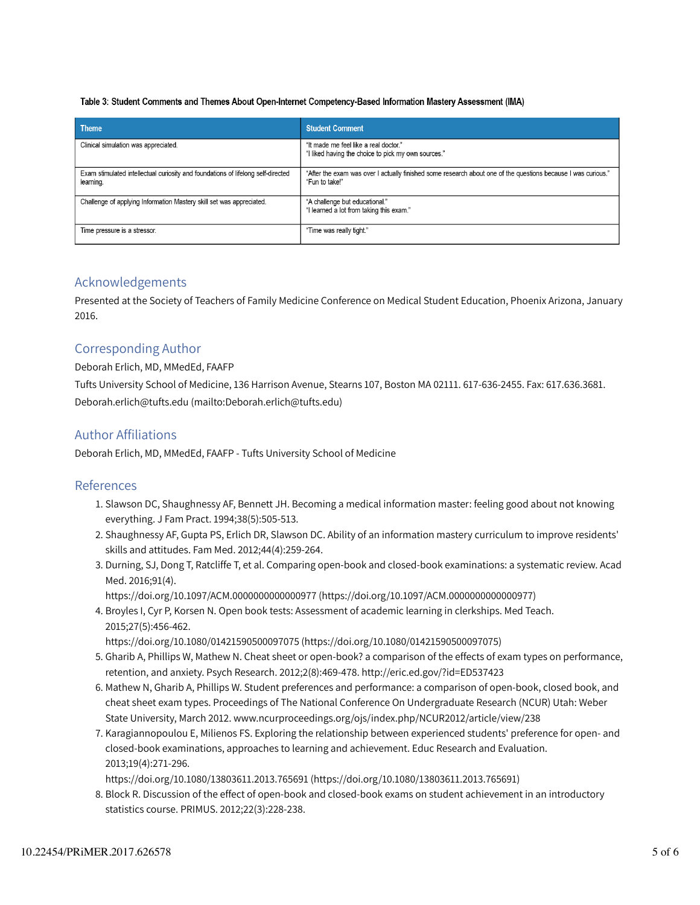#### Table 3: Student Comments and Themes About Open-Internet Competency-Based Information Mastery Assessment (IMA)

| <b>Theme</b>                                                                                  | <b>Student Comment</b>                                                                                                          |
|-----------------------------------------------------------------------------------------------|---------------------------------------------------------------------------------------------------------------------------------|
| Clinical simulation was appreciated.                                                          | "It made me feel like a real doctor."<br>"I liked having the choice to pick my own sources."                                    |
| Exam stimulated intellectual curiosity and foundations of lifelong self-directed<br>learning. | "After the exam was over I actually finished some research about one of the questions because I was curious."<br>"Fun to take!" |
| Challenge of applying Information Mastery skill set was appreciated.                          | "A challenge but educational."<br>"I learned a lot from taking this exam."                                                      |
| Time pressure is a stressor.                                                                  | "Time was really tight."                                                                                                        |

## Acknowledgements

Presented at the Society of Teachers of Family Medicine Conference on Medical Student Education, Phoenix Arizona, January 2016.

## Corresponding Author

#### Deborah Erlich, MD, MMedEd, FAAFP

Tufts University School of Medicine, 136 Harrison Avenue, Stearns 107, Boston MA 02111. 617-636-2455. Fax: 617.636.3681. Deborah.erlich@tufts.edu (mailto:Deborah.erlich@tufts.edu)

### Author Affiliations

Deborah Erlich, MD, MMedEd, FAAFP - Tufts University School of Medicine

### References

- 1. Slawson DC, Shaughnessy AF, Bennett JH. Becoming a medical information master: feeling good about not knowing everything. J Fam Pract. 1994;38(5):505-513.
- 2. Shaughnessy AF, Gupta PS, Erlich DR, Slawson DC. Ability of an information mastery curriculum to improve residents' skills and attitudes. Fam Med. 2012;44(4):259-264.
- 3. Durning, SJ, Dong T, Ratcliffe T, et al. Comparing open-book and closed-book examinations: a systematic review. Acad Med. 2016;91(4).

https://doi.org/10.1097/ACM.0000000000000977 (https://doi.org/10.1097/ACM.0000000000000977)

4. Broyles I, Cyr P, Korsen N. Open book tests: Assessment of academic learning in clerkships. Med Teach. 2015;27(5):456-462.

https://doi.org/10.1080/01421590500097075 (https://doi.org/10.1080/01421590500097075)

- Gharib A, Phillips W, Mathew N. Cheat sheet or open-book? a comparison of the effects of exam types on performance, 5. retention, and anxiety. Psych Research. 2012;2(8):469-478. http://eric.ed.gov/?id=ED537423
- 6. Mathew N, Gharib A, Phillips W. Student preferences and performance: a comparison of open-book, closed book, and cheat sheet exam types. Proceedings of The National Conference On Undergraduate Research (NCUR) Utah: Weber State University, March 2012. www.ncurproceedings.org/ojs/index.php/NCUR2012/article/view/238
- 7. Karagiannopoulou E, Milienos FS. Exploring the relationship between experienced students' preference for open- and closed-book examinations, approaches to learning and achievement. Educ Research and Evaluation. 2013;19(4):271-296.

https://doi.org/10.1080/13803611.2013.765691 (https://doi.org/10.1080/13803611.2013.765691)

Block R. Discussion of the effect of open-book and closed-book exams on student achievement in an introductory 8. statistics course. PRIMUS. 2012;22(3):228-238.